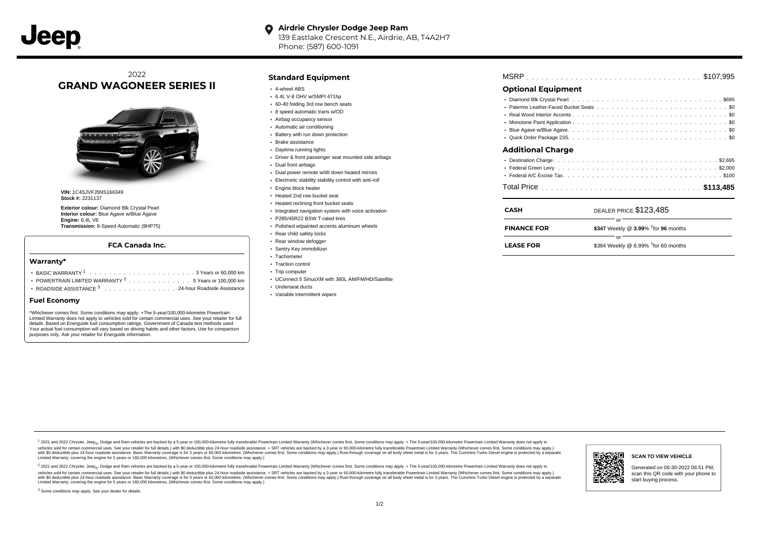#### **Airdrie Chrysler Dodge Jeep Ram**  $\bullet$ 139 Eastlake Crescent N.E., Airdrie, AB, T4A2H7

Phone: (587) 600-1091

# 2022 **GRAND WAGONEER SERIES II**



**VIN:** 1C4SJVFJ5NS166349 **Stock #:** 2231137

**Exterior colour:** Diamond Blk Crystal Pearl **Interior colour:** Blue Agave w/Blue Agave **Engine:** 6.4L V8 **Transmission:** 8-Speed Automatic (8HP75)

#### **FCA Canada Inc.**

#### **Warranty\***

| POWERTRAIN LIMITED WARRANTY $2, \ldots, \ldots, \ldots, \ldots, 5$ Years or 100.000 km |  |  |  |  |  |  |
|----------------------------------------------------------------------------------------|--|--|--|--|--|--|

ROADSIDE ASSISTANCE 3 . . . . . . . . . . . . . . . 24-hour Roadside Assistance

#### **Fuel Economy**

\*Whichever comes first. Some conditions may apply. +The 5-year/100,000-kilometre Powertrain Limited Warranty does not apply to vehicles sold for certain commercial uses. See your retailer for full details. Based on Energuide fuel consumption ratings. Government of Canada test methods used. Your actual fuel consumption will vary based on driving habits and other factors. Use for comparison purposes only. Ask your retailer for Energuide information.

#### **Standard Equipment**

- 4-wheel ABS
- 6.4L V-8 OHV w/SMPI 471hp
- 60-40 folding 3rd row bench seats 8 speed automatic trans w/OD
- Airbag occupancy sensor
- Automatic air conditioning
- Battery with run down protection
- Brake assistance
- Daytime running lights
- Driver & front passenger seat mounted side airbags
- Dual front airbags
- Dual power remote w/tilt down heated mirrors
- Electronic stability stability control with anti-roll
- **Engine block heater**
- Heated 2nd row bucket seat
- Heated reclining front bucket seats
- Integrated navigation system with voice activation
- P285/45R22 BSW T-rated tires
- Polished w/painted accents aluminum wheels
- Rear child safety locks
- Rear window defogger
- Sentry Key immobilizer
- Tachometer
- Traction control
- Trip computer
- UConnect 5 SiriusXM with 360L AM/FM/HD/Satellite
- Underseat ducts
- Variable intermittent wipers

|--|--|--|--|--|--|--|--|--|--|--|--|--|--|--|--|--|--|--|--|--|--|--|--|--|--|--|--|--|--|--|--|--|--|--|--|--|--|--|

## **Optional Equipment**

### **Additional Charge**

| CASH               | DEALER PRICE \$123,485                                |
|--------------------|-------------------------------------------------------|
| <b>FINANCE FOR</b> | nr<br>\$347 Weekly @ 3.99% <sup>†</sup> for 96 months |
| <b>LEASE FOR</b>   | \$384 Weekly @ 6.99% $†$ for 60 months                |

1 2021 and 2022 Chrysler, Jeep<sub>en</sub> Dodge and Ram vehicles are backed by a 5-year or 100,000-kilometre fully transferable Powertrain Limited Warranty (Whichever comes first. Some conditions may apply. + The 5-year/100,000-k vehicles sold for certain commercial uses. See your retailer for full details.) with \$0 deductible plus 24-hour roadside assistance. + SRT vehicles are backed by a 3-year or 60,000-kilometre fully transferable Powertrain L ventals and contract when the contract when the contract you contract when the contract when the control of the set of a set of a set of a set of 3 years of 60,000 kilometres. Whichever comes first. Some conditions may app Limited Warranty, covering the engine for 5 years or 160,000 kilometres. (Whichever comes first. Some conditions may apply.)

<sup>2</sup> 2021 and 2022 Chrysler, Jeep<sub>®</sub>, Dodge and Ram vehicles are backed by a 5-year or 100,000-kilometre fully transferable Powertrain Limited Warranty (Whichever comes first. Some conditions may apply. + The 5-year/100,000 vehicles sold for certain commercial uses. See your retailer for full details.) with SO deductible plus 24-hour roadside assistance. + SRT vehicles are backed by a 3-year or 60.000-kilometre fully transferable Powertrain L with S0 deductible plus 24-hour roadside assistance. Basic Warranty coverage is for 3 years or 60,000 kilometres. (Whichever comes first. Some conditions may apply.) Rust-through coverage on all body sheet metal is for 3 y



**SCAN TO VIEW VEHICLE**

Generated on 06-30-2022 06:51 PM, scan this QR code with your phone to start buying process.

<sup>3</sup> Some conditions may apply. See your dealer for details.